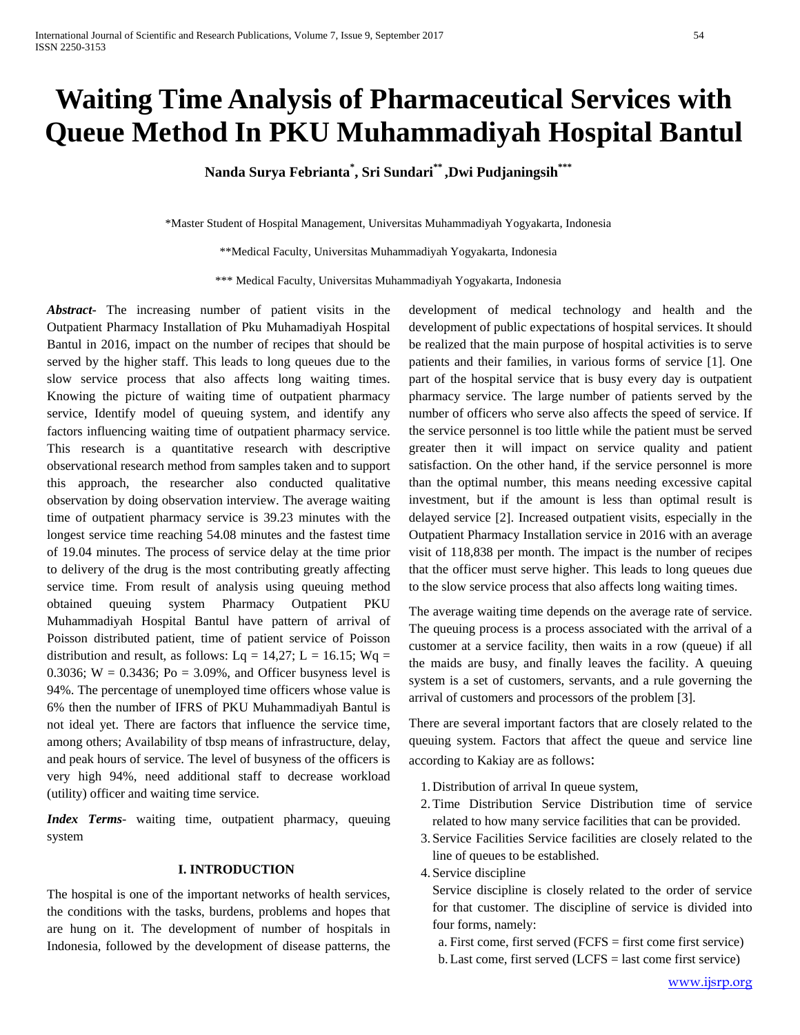# **Waiting Time Analysis of Pharmaceutical Services with Queue Method In PKU Muhammadiyah Hospital Bantul**

**Nanda Surya Febrianta\* , Sri Sundari\*\* ,Dwi Pudjaningsih\*\*\***

\*Master Student of Hospital Management, Universitas Muhammadiyah Yogyakarta, Indonesia

\*\*Medical Faculty, Universitas Muhammadiyah Yogyakarta, Indonesia

\*\*\* Medical Faculty, Universitas Muhammadiyah Yogyakarta, Indonesia

*Abstract***-** The increasing number of patient visits in the Outpatient Pharmacy Installation of Pku Muhamadiyah Hospital Bantul in 2016, impact on the number of recipes that should be served by the higher staff. This leads to long queues due to the slow service process that also affects long waiting times. Knowing the picture of waiting time of outpatient pharmacy service, Identify model of queuing system, and identify any factors influencing waiting time of outpatient pharmacy service. This research is a quantitative research with descriptive observational research method from samples taken and to support this approach, the researcher also conducted qualitative observation by doing observation interview. The average waiting time of outpatient pharmacy service is 39.23 minutes with the longest service time reaching 54.08 minutes and the fastest time of 19.04 minutes. The process of service delay at the time prior to delivery of the drug is the most contributing greatly affecting service time. From result of analysis using queuing method obtained queuing system Pharmacy Outpatient PKU Muhammadiyah Hospital Bantul have pattern of arrival of Poisson distributed patient, time of patient service of Poisson distribution and result, as follows: Lq = 14,27; L = 16.15; Wq = 0.3036;  $W = 0.3436$ ;  $Po = 3.09\%$ , and Officer busyness level is 94%. The percentage of unemployed time officers whose value is 6% then the number of IFRS of PKU Muhammadiyah Bantul is not ideal yet. There are factors that influence the service time, among others; Availability of tbsp means of infrastructure, delay, and peak hours of service. The level of busyness of the officers is very high 94%, need additional staff to decrease workload (utility) officer and waiting time service.

*Index Terms*- waiting time, outpatient pharmacy, queuing system

## **I. INTRODUCTION**

The hospital is one of the important networks of health services, the conditions with the tasks, burdens, problems and hopes that are hung on it. The development of number of hospitals in Indonesia, followed by the development of disease patterns, the development of medical technology and health and the development of public expectations of hospital services. It should be realized that the main purpose of hospital activities is to serve patients and their families, in various forms of service [1]. One part of the hospital service that is busy every day is outpatient pharmacy service. The large number of patients served by the number of officers who serve also affects the speed of service. If the service personnel is too little while the patient must be served greater then it will impact on service quality and patient satisfaction. On the other hand, if the service personnel is more than the optimal number, this means needing excessive capital investment, but if the amount is less than optimal result is delayed service [2]. Increased outpatient visits, especially in the Outpatient Pharmacy Installation service in 2016 with an average visit of 118,838 per month. The impact is the number of recipes that the officer must serve higher. This leads to long queues due to the slow service process that also affects long waiting times.

The average waiting time depends on the average rate of service. The queuing process is a process associated with the arrival of a customer at a service facility, then waits in a row (queue) if all the maids are busy, and finally leaves the facility. A queuing system is a set of customers, servants, and a rule governing the arrival of customers and processors of the problem [3].

There are several important factors that are closely related to the queuing system. Factors that affect the queue and service line according to Kakiay are as follows:

- 1. Distribution of arrival In queue system,
- 2.Time Distribution Service Distribution time of service related to how many service facilities that can be provided.
- 3. Service Facilities Service facilities are closely related to the line of queues to be established.
- 4. Service discipline

Service discipline is closely related to the order of service for that customer. The discipline of service is divided into four forms, namely:

a. First come, first served (FCFS = first come first service) b.Last come, first served (LCFS = last come first service)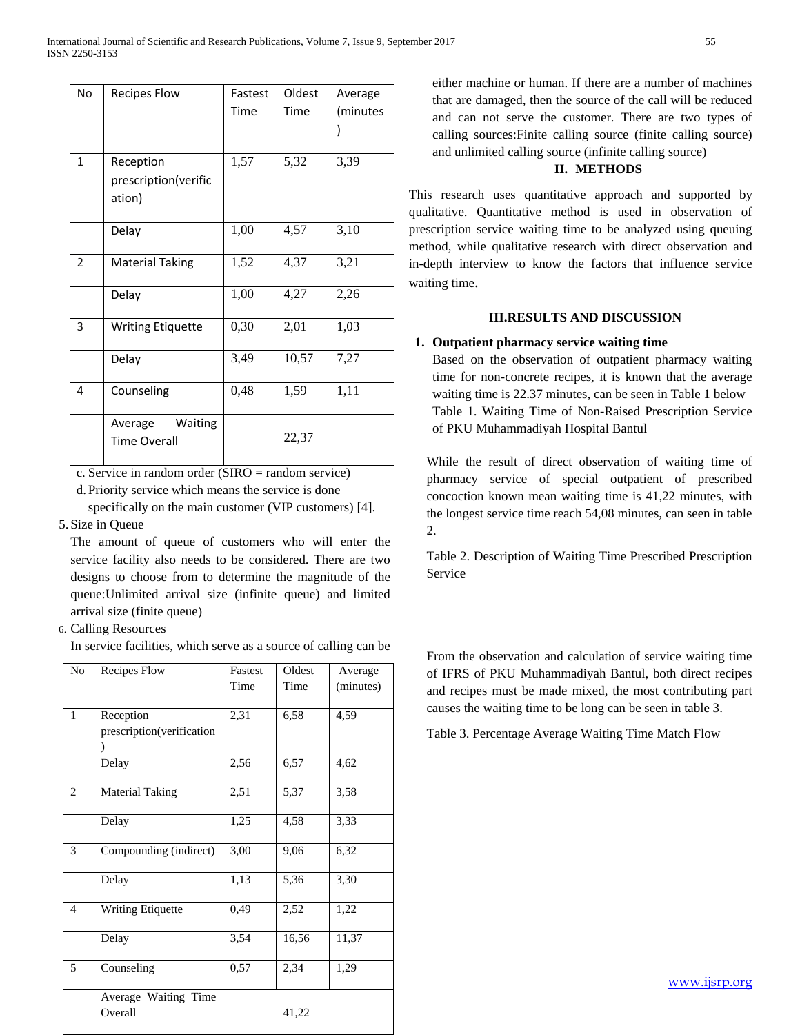| <b>No</b>      | <b>Recipes Flow</b>                         | Fastest<br>Time | Oldest<br>Time | Average<br>(minutes |
|----------------|---------------------------------------------|-----------------|----------------|---------------------|
| $\mathbf{1}$   | Reception<br>prescription(verific<br>ation) | 1,57            | 5,32           | 3,39                |
|                | Delay                                       | 1,00            | 4,57           | 3,10                |
| $\overline{2}$ | <b>Material Taking</b>                      | 1,52            | 4,37           | 3,21                |
|                | Delay                                       | 1,00            | 4,27           | 2,26                |
| 3              | <b>Writing Etiquette</b>                    | 0,30            | 2,01           | 1,03                |
|                | Delay                                       | 3,49            | 10,57          | 7,27                |
| 4              | Counseling                                  | 0,48            | 1,59           | 1,11                |
|                | Waiting<br>Average<br><b>Time Overall</b>   |                 | 22,37          |                     |

c. Service in random order (SIRO = random service)

d. Priority service which means the service is done specifically on the main customer (VIP customers) [4].

# 5. Size in Queue

The amount of queue of customers who will enter the service facility also needs to be considered. There are two designs to choose from to determine the magnitude of the queue:Unlimited arrival size (infinite queue) and limited arrival size (finite queue)

# 6. Calling Resources

In service facilities, which serve as a source of calling can be

| N <sub>0</sub> | Recipes Flow                           | Fastest | Oldest            | Average   |
|----------------|----------------------------------------|---------|-------------------|-----------|
|                |                                        | Time    | Time              | (minutes) |
| $\mathbf{1}$   | Reception<br>prescription(verification | 2,31    | 6,58              | 4,59      |
|                | Delay                                  | 2,56    | 6,57              | 4,62      |
| 2              | <b>Material Taking</b>                 | 2,51    | 5,37              | 3,58      |
|                | Delay                                  | 1,25    | 4,58              | 3,33      |
| 3              | Compounding (indirect)                 | 3,00    | 9,06              | 6,32      |
|                | Delay                                  | 1,13    | $\overline{5,36}$ | 3,30      |
| $\overline{4}$ | <b>Writing Etiquette</b>               | 0,49    | 2,52              | 1,22      |
|                | Delay                                  | 3,54    | 16,56             | 11,37     |
| 5              | Counseling                             | 0,57    | 2,34              | 1,29      |
|                | Average Waiting Time<br>Overall        |         | 41,22             |           |

either machine or human. If there are a number of machines that are damaged, then the source of the call will be reduced and can not serve the customer. There are two types of calling sources:Finite calling source (finite calling source) and unlimited calling source (infinite calling source)

### **II. METHODS**

This research uses quantitative approach and supported by qualitative. Quantitative method is used in observation of prescription service waiting time to be analyzed using queuing method, while qualitative research with direct observation and in-depth interview to know the factors that influence service waiting time.

#### **III.RESULTS AND DISCUSSION**

### **1. Outpatient pharmacy service waiting time**

Based on the observation of outpatient pharmacy waiting time for non-concrete recipes, it is known that the average waiting time is 22.37 minutes, can be seen in Table 1 below Table 1. Waiting Time of Non-Raised Prescription Service of PKU Muhammadiyah Hospital Bantul

While the result of direct observation of waiting time of pharmacy service of special outpatient of prescribed concoction known mean waiting time is 41,22 minutes, with the longest service time reach 54,08 minutes, can seen in table 2.

Table 2. Description of Waiting Time Prescribed Prescription Service

From the observation and calculation of service waiting time of IFRS of PKU Muhammadiyah Bantul, both direct recipes and recipes must be made mixed, the most contributing part causes the waiting time to be long can be seen in table 3.

Table 3. Percentage Average Waiting Time Match Flow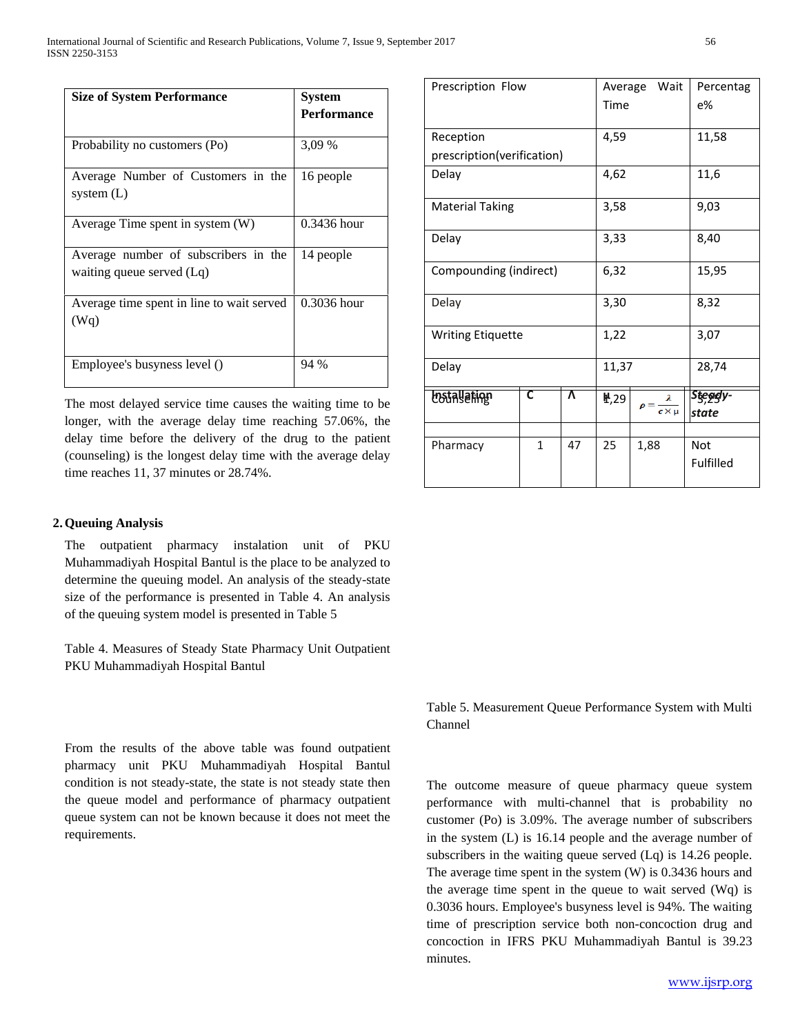| <b>Size of System Performance</b>                                 | <b>System</b><br><b>Performance</b> |
|-------------------------------------------------------------------|-------------------------------------|
| Probability no customers (Po)                                     | 3,09 %                              |
| Average Number of Customers in the<br>system $(L)$                | 16 people                           |
| Average Time spent in system (W)                                  | 0.3436 hour                         |
| Average number of subscribers in the<br>waiting queue served (Lq) | 14 people                           |
| Average time spent in line to wait served<br>(Wq)                 | 0.3036 hour                         |
| Employee's busyness level ()                                      | 94 %                                |

The most delayed service time causes the waiting time to be longer, with the average delay time reaching 57.06%, the delay time before the delivery of the drug to the patient (counseling) is the longest delay time with the average delay time reaches 11, 37 minutes or 28.74%.

### **2.Queuing Analysis**

The outpatient pharmacy instalation unit of PKU Muhammadiyah Hospital Bantul is the place to be analyzed to determine the queuing model. An analysis of the steady-state size of the performance is presented in Table 4. An analysis of the queuing system model is presented in Table 5

Table 4. Measures of Steady State Pharmacy Unit Outpatient PKU Muhammadiyah Hospital Bantul

From the results of the above table was found outpatient pharmacy unit PKU Muhammadiyah Hospital Bantul condition is not steady-state, the state is not steady state then the queue model and performance of pharmacy outpatient queue system can not be known because it does not meet the requirements.

| Prescription Flow          |              |    | Wait<br>Average |       | Percentag    |                   |
|----------------------------|--------------|----|-----------------|-------|--------------|-------------------|
|                            | Time         |    |                 | e%    |              |                   |
|                            |              |    |                 |       |              |                   |
| Reception                  | 4,59         |    |                 | 11,58 |              |                   |
| prescription(verification) |              |    |                 |       |              |                   |
| Delay                      | 4,62         |    |                 | 11,6  |              |                   |
| <b>Material Taking</b>     | 3,58         |    | 9,03            |       |              |                   |
| Delay                      | 3,33         |    |                 | 8,40  |              |                   |
| Compounding (indirect)     | 6,32         |    | 15,95           |       |              |                   |
| Delay                      | 3,30         |    | 8,32            |       |              |                   |
| <b>Writing Etiquette</b>   |              |    | 1,22            |       | 3,07         |                   |
| Delay                      |              |    | 11,37           |       | 28,74        |                   |
| <b>Lostallation</b>        | С            | Λ  | ₩,29            |       | $c \times u$ | Stegely-<br>state |
|                            |              |    |                 |       |              |                   |
| Pharmacy                   | $\mathbf{1}$ | 47 | 25              | 1,88  |              | <b>Not</b>        |
|                            |              |    |                 |       |              | Fulfilled         |
|                            |              |    |                 |       |              |                   |

Table 5. Measurement Queue Performance System with Multi Channel

The outcome measure of queue pharmacy queue system performance with multi-channel that is probability no customer (Po) is 3.09%. The average number of subscribers in the system (L) is 16.14 people and the average number of subscribers in the waiting queue served (Lq) is 14.26 people. The average time spent in the system (W) is 0.3436 hours and the average time spent in the queue to wait served (Wq) is 0.3036 hours. Employee's busyness level is 94%. The waiting time of prescription service both non-concoction drug and concoction in IFRS PKU Muhammadiyah Bantul is 39.23 minutes.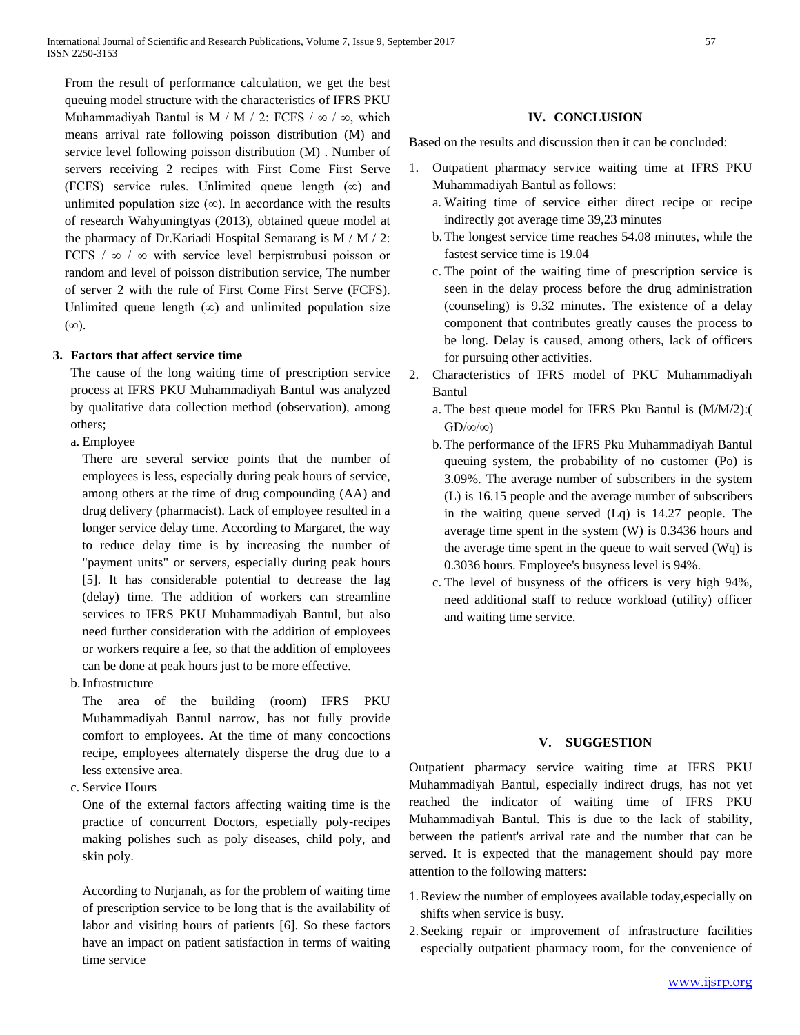From the result of performance calculation, we get the best queuing model structure with the characteristics of IFRS PKU Muhammadiyah Bantul is M / M / 2: FCFS /  $\infty$  /  $\infty$ , which means arrival rate following poisson distribution (M) and service level following poisson distribution (M) . Number of servers receiving 2 recipes with First Come First Serve (FCFS) service rules. Unlimited queue length  $(\infty)$  and unlimited population size  $(\infty)$ . In accordance with the results of research Wahyuningtyas (2013), obtained queue model at the pharmacy of Dr.Kariadi Hospital Semarang is M / M / 2: FCFS  $\ell \infty$  /  $\infty$  with service level berpistrubusi poisson or random and level of poisson distribution service, The number of server 2 with the rule of First Come First Serve (FCFS). Unlimited queue length  $(\infty)$  and unlimited population size (∞).

### **3. Factors that affect service time**

The cause of the long waiting time of prescription service process at IFRS PKU Muhammadiyah Bantul was analyzed by qualitative data collection method (observation), among others;

a. Employee

There are several service points that the number of employees is less, especially during peak hours of service, among others at the time of drug compounding (AA) and drug delivery (pharmacist). Lack of employee resulted in a longer service delay time. According to Margaret, the way to reduce delay time is by increasing the number of "payment units" or servers, especially during peak hours [5]. It has considerable potential to decrease the lag (delay) time. The addition of workers can streamline services to IFRS PKU Muhammadiyah Bantul, but also need further consideration with the addition of employees or workers require a fee, so that the addition of employees can be done at peak hours just to be more effective.

b.Infrastructure

The area of the building (room) IFRS PKU Muhammadiyah Bantul narrow, has not fully provide comfort to employees. At the time of many concoctions recipe, employees alternately disperse the drug due to a less extensive area.

c. Service Hours

One of the external factors affecting waiting time is the practice of concurrent Doctors, especially poly-recipes making polishes such as poly diseases, child poly, and skin poly.

According to Nurjanah, as for the problem of waiting time of prescription service to be long that is the availability of labor and visiting hours of patients [6]. So these factors have an impact on patient satisfaction in terms of waiting time service

#### **IV. CONCLUSION**

Based on the results and discussion then it can be concluded:

- 1. Outpatient pharmacy service waiting time at IFRS PKU Muhammadiyah Bantul as follows:
	- a. Waiting time of service either direct recipe or recipe indirectly got average time 39,23 minutes
	- b.The longest service time reaches 54.08 minutes, while the fastest service time is 19.04
	- c. The point of the waiting time of prescription service is seen in the delay process before the drug administration (counseling) is 9.32 minutes. The existence of a delay component that contributes greatly causes the process to be long. Delay is caused, among others, lack of officers for pursuing other activities.
- 2. Characteristics of IFRS model of PKU Muhammadiyah Bantul
	- a. The best queue model for IFRS Pku Bantul is (M/M/2):(  $GD/\infty/\infty$
	- b.The performance of the IFRS Pku Muhammadiyah Bantul queuing system, the probability of no customer (Po) is 3.09%. The average number of subscribers in the system (L) is 16.15 people and the average number of subscribers in the waiting queue served (Lq) is 14.27 people. The average time spent in the system (W) is 0.3436 hours and the average time spent in the queue to wait served (Wq) is 0.3036 hours. Employee's busyness level is 94%.
	- c. The level of busyness of the officers is very high 94%, need additional staff to reduce workload (utility) officer and waiting time service.

#### **V. SUGGESTION**

Outpatient pharmacy service waiting time at IFRS PKU Muhammadiyah Bantul, especially indirect drugs, has not yet reached the indicator of waiting time of IFRS PKU Muhammadiyah Bantul. This is due to the lack of stability, between the patient's arrival rate and the number that can be served. It is expected that the management should pay more attention to the following matters:

- 1.Review the number of employees available today,especially on shifts when service is busy.
- 2. Seeking repair or improvement of infrastructure facilities especially outpatient pharmacy room, for the convenience of